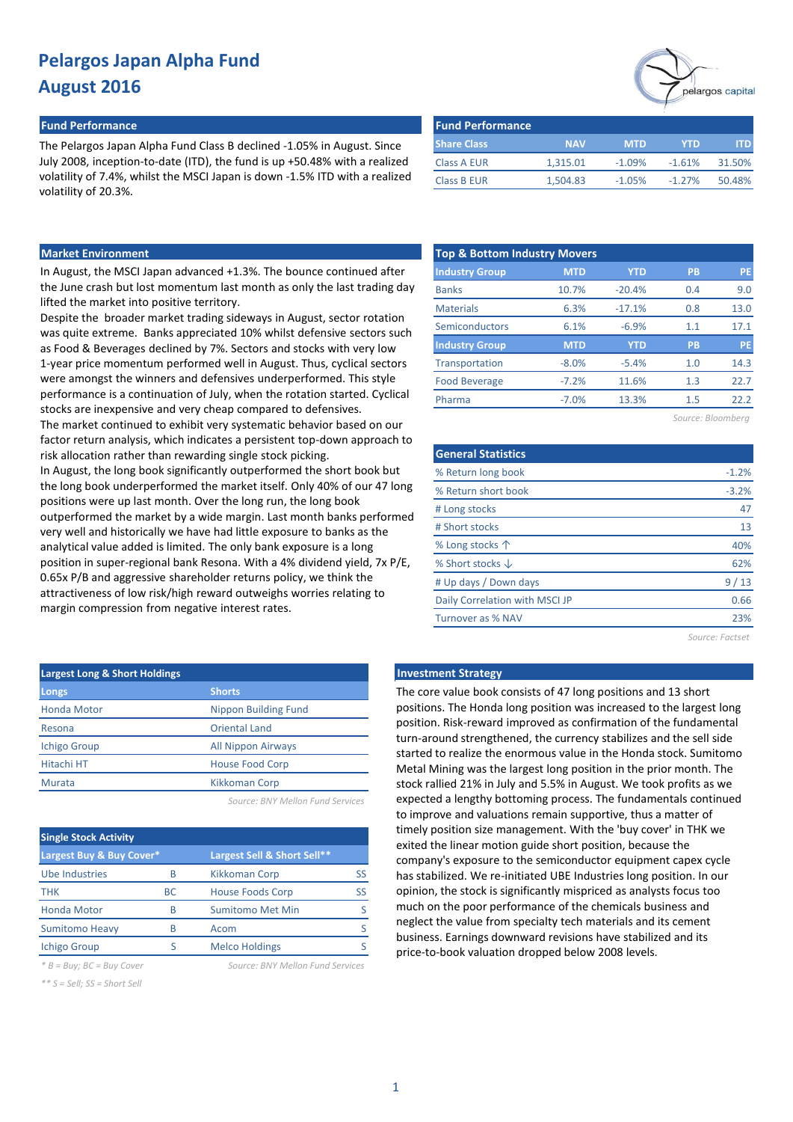#### **Fund Performance Fund Performance**

The Pelargos Japan Alpha Fund Class B declined -1.05% in August. Since July 2008, inception-to-date (ITD), the fund is up +50.48% with a realized volatility of 7.4%, whilst the MSCI Japan is down -1.5% ITD with a realized volatility of 20.3%.

| <b>Fund Performance</b> |            |            |            |        |
|-------------------------|------------|------------|------------|--------|
| <b>Share Class</b>      | <b>NAV</b> | <b>MTD</b> | <b>YTD</b> | ITD.   |
| <b>Class A EUR</b>      | 1,315.01   | $-1.09%$   | $-1.61%$   | 31.50% |
| <b>Class B EUR</b>      | 1,504.83   | $-1.05%$   | $-1.27%$   | 50.48% |

**Industry Group MTD YTD PB PE**

10.7% -20.4% 0.4 9.0

 $-17.1\%$  0.8 13.0

17.1

## **Market Environment Top & Bottom Industry Movers**

In August, the MSCI Japan advanced +1.3%. The bounce continued after the June crash but lost momentum last month as only the last trading day lifted the market into positive territory.

Despite the broader market trading sideways in August, sector rotation was quite extreme. Banks appreciated 10% whilst defensive sectors such as Food & Beverages declined by 7%. Sectors and stocks with very low 1-year price momentum performed well in August. Thus, cyclical sectors were amongst the winners and defensives underperformed. This style performance is a continuation of July, when the rotation started. Cyclical stocks are inexpensive and very cheap compared to defensives. The market continued to exhibit very systematic behavior based on our factor return analysis, which indicates a persistent top-down approach to risk allocation rather than rewarding single stock picking. In August, the long book significantly outperformed the short book but the long book underperformed the market itself. Only 40% of our 47 long positions were up last month. Over the long run, the long book outperformed the market by a wide margin. Last month banks performed very well and historically we have had little exposure to banks as the analytical value added is limited. The only bank exposure is a long position in super-regional bank Resona. With a 4% dividend yield, 7x P/E, 0.65x P/B and aggressive shareholder returns policy, we think the attractiveness of low risk/high reward outweighs worries relating to margin compression from negative interest rates.

| <b>Largest Long &amp; Short Holdings</b> |                           |  |  |  |  |  |  |
|------------------------------------------|---------------------------|--|--|--|--|--|--|
| Longs                                    | <b>Shorts</b>             |  |  |  |  |  |  |
| <b>Honda Motor</b>                       | Nippon Building Fund      |  |  |  |  |  |  |
| Resona                                   | <b>Oriental Land</b>      |  |  |  |  |  |  |
| <b>Ichigo Group</b>                      | <b>All Nippon Airways</b> |  |  |  |  |  |  |
| <b>Hitachi HT</b>                        | House Food Corp           |  |  |  |  |  |  |
| Murata                                   | <b>Kikkoman Corp</b>      |  |  |  |  |  |  |
|                                          |                           |  |  |  |  |  |  |

*Source: BNY Mellon Fund Services*

| <b>Single Stock Activity</b> |           |                             |    |  |  |  |  |  |  |  |
|------------------------------|-----------|-----------------------------|----|--|--|--|--|--|--|--|
| Largest Buy & Buy Cover*     |           | Largest Sell & Short Sell** |    |  |  |  |  |  |  |  |
| Ube Industries               | B         | Kikkoman Corp               | SS |  |  |  |  |  |  |  |
| <b>THK</b>                   | <b>BC</b> | <b>House Foods Corp</b>     | SS |  |  |  |  |  |  |  |
| <b>Honda Motor</b>           | R         | <b>Sumitomo Met Min</b>     |    |  |  |  |  |  |  |  |
| <b>Sumitomo Heavy</b>        | B         | Acom                        |    |  |  |  |  |  |  |  |
| <b>Ichigo Group</b>          | ς         | <b>Melco Holdings</b>       |    |  |  |  |  |  |  |  |

*\* B = Buy; BC = Buy Cover Source: BNY Mellon Fund Services*

*\*\* S = Sell; SS = Short Sell*

|  |  | Source: BNY Mellon Fund Services |  |
|--|--|----------------------------------|--|
|  |  |                                  |  |

| Semiconductors            | 6.1%       | $-6.9%$    | 1.1               | 17.1    |
|---------------------------|------------|------------|-------------------|---------|
| <b>Industry Group</b>     | <b>MTD</b> | <b>YTD</b> | <b>PB</b>         | PE      |
| Transportation            | $-8.0%$    | $-5.4%$    | 1.0               | 14.3    |
| Food Beverage             | $-7.2%$    | 11.6%      | 1.3               | 22.7    |
| Pharma                    | $-7.0%$    | 13.3%      | 1.5               | 22.2    |
|                           |            |            | Source: Bloomberg |         |
|                           |            |            |                   |         |
| <b>General Statistics</b> |            |            |                   |         |
| % Return long book        |            |            |                   | $-1.2%$ |
|                           |            |            |                   |         |

6.3%

| % Return long book             | $-1.2%$ |
|--------------------------------|---------|
| % Return short book            | $-3.2%$ |
| # Long stocks                  | 47      |
| # Short stocks                 | 13      |
| % Long stocks 个                | 40%     |
| % Short stocks $\downarrow$    | 62%     |
| # Up days / Down days          | 9/13    |
| Daily Correlation with MSCI JP | 0.66    |
| Turnover as % NAV              | 23%     |
|                                |         |

*Source: Factset*

### **Late Investment Strategy**

Banks Materials

The core value book consists of 47 long positions and 13 short positions. The Honda long position was increased to the largest long position. Risk-reward improved as confirmation of the fundamental turn-around strengthened, the currency stabilizes and the sell side started to realize the enormous value in the Honda stock. Sumitomo Metal Mining was the largest long position in the prior month. The stock rallied 21% in July and 5.5% in August. We took profits as we expected a lengthy bottoming process. The fundamentals continued to improve and valuations remain supportive, thus a matter of timely position size management. With the 'buy cover' in THK we exited the linear motion guide short position, because the company's exposure to the semiconductor equipment capex cycle has stabilized. We re-initiated UBE Industries long position. In our opinion, the stock is significantly mispriced as analysts focus too much on the poor performance of the chemicals business and neglect the value from specialty tech materials and its cement business. Earnings downward revisions have stabilized and its price-to-book valuation dropped below 2008 levels.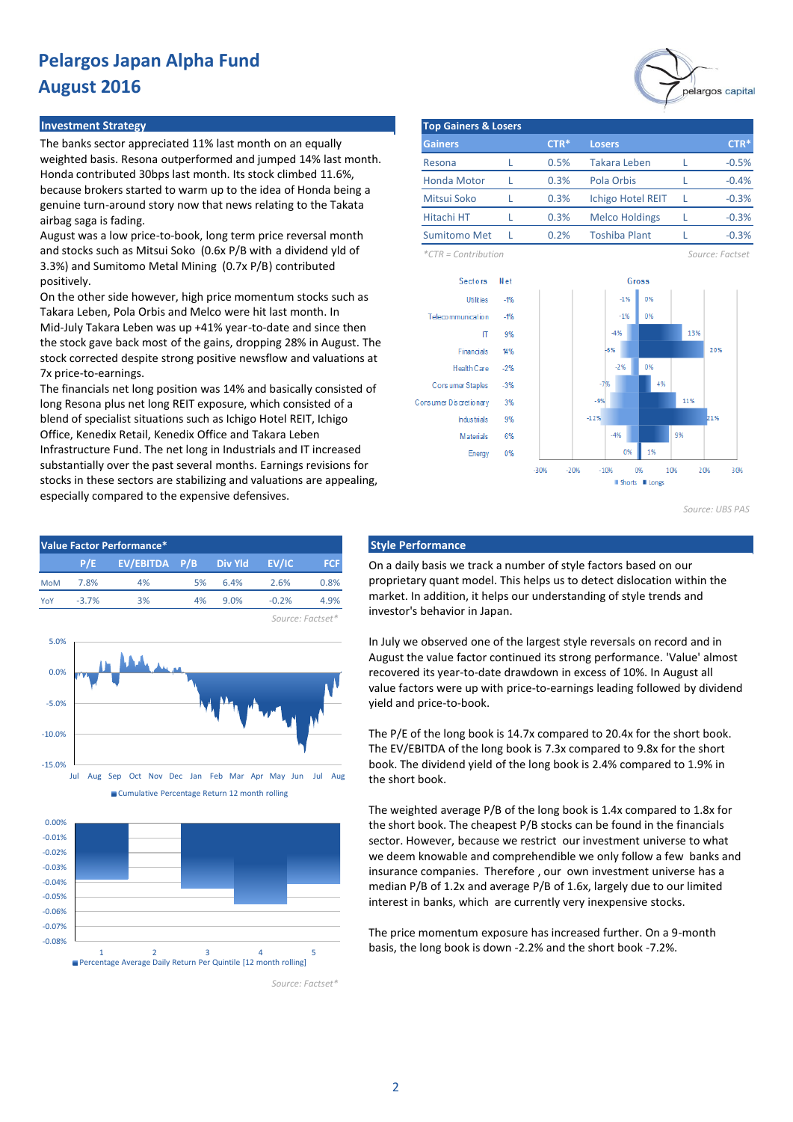### **Investment Strategy**

The banks sector appreciated 11% last month on an equally weighted basis. Resona outperformed and jumped 14% last month. Honda contributed 30bps last month. Its stock climbed 11.6%, because brokers started to warm up to the idea of Honda being a genuine turn-around story now that news relating to the Takata airbag saga is fading.

August was a low price-to-book, long term price reversal month and stocks such as Mitsui Soko (0.6x P/B with a dividend yld of 3.3%) and Sumitomo Metal Mining (0.7x P/B) contributed positively.

On the other side however, high price momentum stocks such as Takara Leben, Pola Orbis and Melco were hit last month. In Mid-July Takara Leben was up +41% year-to-date and since then the stock gave back most of the gains, dropping 28% in August. The stock corrected despite strong positive newsflow and valuations at 7x price-to-earnings.

The financials net long position was 14% and basically consisted of long Resona plus net long REIT exposure, which consisted of a blend of specialist situations such as Ichigo Hotel REIT, Ichigo Office, Kenedix Retail, Kenedix Office and Takara Leben Infrastructure Fund. The net long in Industrials and IT increased substantially over the past several months. Earnings revisions for stocks in these sectors are stabilizing and valuations are appealing, especially compared to the expensive defensives.





Cumulative Percentage Return 12 month rolling



Percentage Average Daily Return Per Quintile [12 month rolling]



| <b>Top Gainers &amp; Losers</b> |  |        |                          |  |         |  |  |  |  |  |
|---------------------------------|--|--------|--------------------------|--|---------|--|--|--|--|--|
| <b>Gainers</b>                  |  | $CTR*$ | <b>Losers</b>            |  | CTR*    |  |  |  |  |  |
| Resona                          |  | 0.5%   | Takara Leben             |  | $-0.5%$ |  |  |  |  |  |
| <b>Honda Motor</b>              |  | 0.3%   | Pola Orbis               |  | $-0.4%$ |  |  |  |  |  |
| Mitsui Soko                     |  | 0.3%   | <b>Ichigo Hotel REIT</b> |  | $-0.3%$ |  |  |  |  |  |
| Hitachi HT                      |  | 0.3%   | <b>Melco Holdings</b>    |  | $-0.3%$ |  |  |  |  |  |
| <b>Sumitomo Met</b>             |  | 0.2%   | <b>Toshiba Plant</b>     |  | $-0.3%$ |  |  |  |  |  |

*\*CTR = Contribution Source: Factset*



*Source: UBS PAS*

On a daily basis we track a number of style factors based on our proprietary quant model. This helps us to detect dislocation within the market. In addition, it helps our understanding of style trends and investor's behavior in Japan.

In July we observed one of the largest style reversals on record and in August the value factor continued its strong performance. 'Value' almost recovered its year-to-date drawdown in excess of 10%. In August all value factors were up with price-to-earnings leading followed by dividend yield and price-to-book.

The P/E of the long book is 14.7x compared to 20.4x for the short book. The EV/EBITDA of the long book is 7.3x compared to 9.8x for the short book. The dividend yield of the long book is 2.4% compared to 1.9% in the short book.

The weighted average P/B of the long book is 1.4x compared to 1.8x for the short book. The cheapest P/B stocks can be found in the financials sector. However, because we restrict our investment universe to what we deem knowable and comprehendible we only follow a few banks and insurance companies. Therefore , our own investment universe has a median P/B of 1.2x and average P/B of 1.6x, largely due to our limited interest in banks, which are currently very inexpensive stocks.

The price momentum exposure has increased further. On a 9-month basis, the long book is down -2.2% and the short book -7.2%.

*Source: Factset\**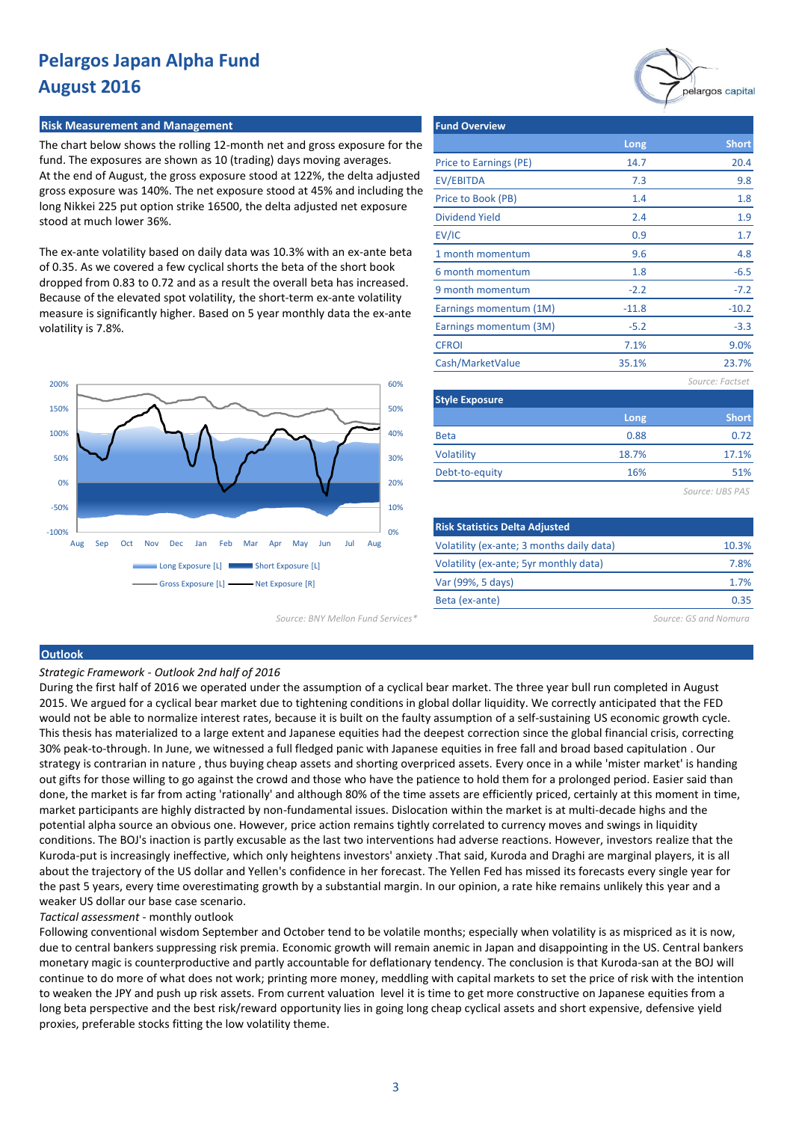## **Risk Measurement and Management**

The chart below shows the rolling 12-month net and gross exposure for the fund. The exposures are shown as 10 (trading) days moving averages. At the end of August, the gross exposure stood at 122%, the delta adjusted gross exposure was 140%. The net exposure stood at 45% and including the long Nikkei 225 put option strike 16500, the delta adjusted net exposure stood at much lower 36%.

The ex-ante volatility based on daily data was 10.3% with an ex-ante beta of 0.35. As we covered a few cyclical shorts the beta of the short book dropped from 0.83 to 0.72 and as a result the overall beta has increased. Because of the elevated spot volatility, the short-term ex-ante volatility measure is significantly higher. Based on 5 year monthly data the ex-ante volatility is 7.8%.



*Source: BNY Mellon Fund Services\* Source: GS and Nomura*

| Long    | <b>Short</b>    |
|---------|-----------------|
| 14.7    | 20.4            |
| 7.3     | 9.8             |
| 1.4     | 1.8             |
| 2.4     | 1.9             |
| 0.9     | 1.7             |
| 9.6     | 4.8             |
| 1.8     | $-6.5$          |
| $-2.2$  | $-7.2$          |
| $-11.8$ | $-10.2$         |
| $-5.2$  | $-3.3$          |
| 7.1%    | 9.0%            |
| 35.1%   | 23.7%           |
|         | Source: Factset |
|         |                 |
| Long    | <b>Short</b>    |
| 0.88    | 0.72            |
| 18.7%   | 17.1%           |
| 16%     | 51%             |
|         | Source: UBS PAS |
|         |                 |
|         |                 |
|         |                 |

| Risk Statistics Delta Adjusted            |       |
|-------------------------------------------|-------|
| Volatility (ex-ante; 3 months daily data) | 10.3% |
| Volatility (ex-ante; 5yr monthly data)    | 7.8%  |
| Var (99%, 5 days)                         | 1.7%  |
| Beta (ex-ante)                            | 0.35  |
|                                           |       |

#### **Outlook**

*Strategic Framework - Outlook 2nd half of 2016*

During the first half of 2016 we operated under the assumption of a cyclical bear market. The three year bull run completed in August 2015. We argued for a cyclical bear market due to tightening conditions in global dollar liquidity. We correctly anticipated that the FED would not be able to normalize interest rates, because it is built on the faulty assumption of a self-sustaining US economic growth cycle. This thesis has materialized to a large extent and Japanese equities had the deepest correction since the global financial crisis, correcting 30% peak-to-through. In June, we witnessed a full fledged panic with Japanese equities in free fall and broad based capitulation . Our strategy is contrarian in nature , thus buying cheap assets and shorting overpriced assets. Every once in a while 'mister market' is handing out gifts for those willing to go against the crowd and those who have the patience to hold them for a prolonged period. Easier said than done, the market is far from acting 'rationally' and although 80% of the time assets are efficiently priced, certainly at this moment in time, market participants are highly distracted by non-fundamental issues. Dislocation within the market is at multi-decade highs and the potential alpha source an obvious one. However, price action remains tightly correlated to currency moves and swings in liquidity conditions. The BOJ's inaction is partly excusable as the last two interventions had adverse reactions. However, investors realize that the Kuroda-put is increasingly ineffective, which only heightens investors' anxiety .That said, Kuroda and Draghi are marginal players, it is all about the trajectory of the US dollar and Yellen's confidence in her forecast. The Yellen Fed has missed its forecasts every single year for the past 5 years, every time overestimating growth by a substantial margin. In our opinion, a rate hike remains unlikely this year and a weaker US dollar our base case scenario.

*Tactical assessment* - monthly outlook

Following conventional wisdom September and October tend to be volatile months; especially when volatility is as mispriced as it is now, due to central bankers suppressing risk premia. Economic growth will remain anemic in Japan and disappointing in the US. Central bankers monetary magic is counterproductive and partly accountable for deflationary tendency. The conclusion is that Kuroda-san at the BOJ will continue to do more of what does not work; printing more money, meddling with capital markets to set the price of risk with the intention to weaken the JPY and push up risk assets. From current valuation level it is time to get more constructive on Japanese equities from a long beta perspective and the best risk/reward opportunity lies in going long cheap cyclical assets and short expensive, defensive yield proxies, preferable stocks fitting the low volatility theme.

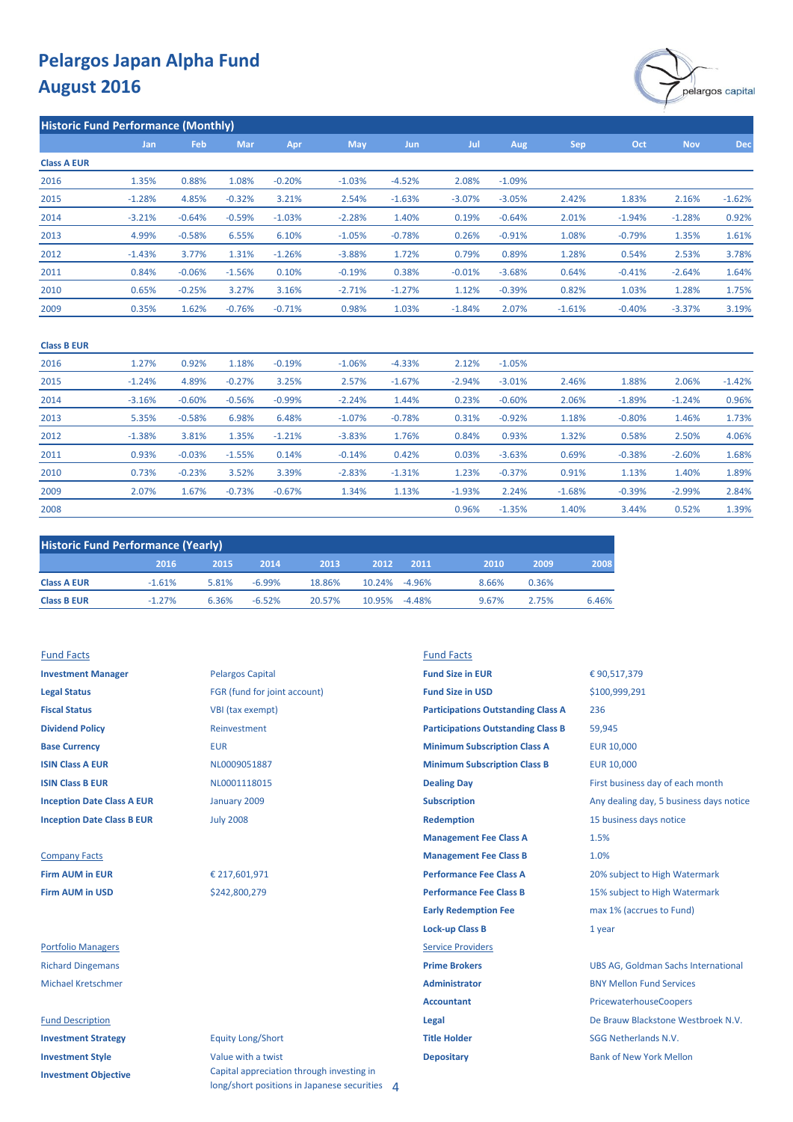

**Historic Fund Performance (Monthly)**

| 1.83%<br>2.16%       | $-1.62%$ |
|----------------------|----------|
| $-1.28%$<br>$-1.94%$ | 0.92%    |
| $-0.79%$<br>1.35%    | 1.61%    |
| 0.54%<br>2.53%       | 3.78%    |
| $-2.64%$<br>$-0.41%$ | 1.64%    |
| 1.03%<br>1.28%       | 1.75%    |
| $-3.37%$<br>$-0.40%$ | 3.19%    |
|                      |          |

| <b>Class B EUR</b> |          |          |          |          |           |          |          |          |          |          |          |          |
|--------------------|----------|----------|----------|----------|-----------|----------|----------|----------|----------|----------|----------|----------|
| 2016               | 1.27%    | 0.92%    | 1.18%    | $-0.19%$ | $-1.06%$  | $-4.33%$ | 2.12%    | $-1.05%$ |          |          |          |          |
| 2015               | $-1.24%$ | 4.89%    | $-0.27%$ | 3.25%    | 2.57%     | $-1.67%$ | $-2.94%$ | $-3.01%$ | 2.46%    | 1.88%    | 2.06%    | $-1.42%$ |
| 2014               | $-3.16%$ | $-0.60%$ | $-0.56%$ | $-0.99%$ | $-2.24%$  | 1.44%    | 0.23%    | $-0.60%$ | 2.06%    | $-1.89%$ | $-1.24%$ | 0.96%    |
| 2013               | 5.35%    | $-0.58%$ | 6.98%    | 6.48%    | $-1.07\%$ | $-0.78%$ | 0.31%    | $-0.92%$ | 1.18%    | $-0.80%$ | 1.46%    | 1.73%    |
| 2012               | $-1.38%$ | 3.81%    | 1.35%    | $-1.21%$ | $-3.83%$  | 1.76%    | 0.84%    | 0.93%    | 1.32%    | 0.58%    | 2.50%    | 4.06%    |
| 2011               | 0.93%    | $-0.03%$ | $-1.55%$ | 0.14%    | $-0.14%$  | 0.42%    | 0.03%    | $-3.63%$ | 0.69%    | $-0.38%$ | $-2.60%$ | 1.68%    |
| 2010               | 0.73%    | $-0.23%$ | 3.52%    | 3.39%    | $-2.83%$  | $-1.31%$ | 1.23%    | $-0.37%$ | 0.91%    | 1.13%    | 1.40%    | 1.89%    |
| 2009               | 2.07%    | 1.67%    | $-0.73%$ | $-0.67%$ | 1.34%     | 1.13%    | $-1.93%$ | 2.24%    | $-1.68%$ | $-0.39%$ | $-2.99%$ | 2.84%    |
| 2008               |          |          |          |          |           |          | 0.96%    | $-1.35%$ | 1.40%    | 3.44%    | 0.52%    | 1.39%    |

| <b>Historic Fund Performance (Yearly)</b> |          |       |           |        |        |          |       |       |       |  |  |
|-------------------------------------------|----------|-------|-----------|--------|--------|----------|-------|-------|-------|--|--|
|                                           | 2016     | 2015  | 2014      | 2013   | .2012  | 2011     | 2010  | 2009  | 2008  |  |  |
| <b>Class A EUR</b>                        | $-1.61%$ | 5.81% | $-6.99\%$ | 18.86% | 10.24% | $-4.96%$ | 8.66% | 0.36% |       |  |  |
| <b>Class B EUR</b>                        | $-1.27%$ | 6.36% | $-6.52%$  | 20.57% | 10.95% | $-4.48%$ | 9.67% | 2.75% | 6.46% |  |  |

| <b>Investment Manager</b>         | <b>Pelargos Capital</b>      | <b>Fund Size in EUR</b> |
|-----------------------------------|------------------------------|-------------------------|
| <b>Legal Status</b>               | FGR (fund for joint account) | <b>Fund Size in USD</b> |
| <b>Fiscal Status</b>              | VBI (tax exempt)             | <b>Participations O</b> |
| <b>Dividend Policy</b>            | Reinvestment                 | <b>Participations O</b> |
| <b>Base Currency</b>              | <b>EUR</b>                   | <b>Minimum Subsc</b>    |
| <b>ISIN Class A EUR</b>           | NL0009051887                 | <b>Minimum Subsci</b>   |
| <b>ISIN Class B EUR</b>           | NL0001118015                 | <b>Dealing Day</b>      |
| <b>Inception Date Class A EUR</b> | January 2009                 | <b>Subscription</b>     |
| <b>Inception Date Class B EUR</b> | <b>July 2008</b>             | <b>Redemption</b>       |
|                                   |                              |                         |

## Company Facts **Management Fee Class B Firm AUM in USD Participal S242,800,279 Participal Manufacture Fee Class B**

#### **Fund Description Alegal** Description **Legal** Description  $\blacksquare$

| <b>Investment Strategy</b>  |
|-----------------------------|
| <b>Investment Style</b>     |
| <b>Investment Objective</b> |

# **Legal Status** Fund for joint account) **Fund Size in USD** ax exempt) *<u>estment</u>* ry 2009

## **Equity Long/Short Investment Style Value with a twist <b>Depositary Depositary** Bank of New York Mellon Capital appreciation through investing in long/short positions in Japanese securities 4

## Fund Facts Fund Facts

| <b>Investment Manager</b>         | <b>Pelargos Capital</b>      | <b>Fund Size in EUR</b>                   | €90,517,379                                |
|-----------------------------------|------------------------------|-------------------------------------------|--------------------------------------------|
| <b>Legal Status</b>               | FGR (fund for joint account) | <b>Fund Size in USD</b>                   | \$100,999,291                              |
| <b>Fiscal Status</b>              | VBI (tax exempt)             | <b>Participations Outstanding Class A</b> | 236                                        |
| <b>Dividend Policy</b>            | Reinvestment                 | <b>Participations Outstanding Class B</b> | 59,945                                     |
| <b>Base Currency</b>              | <b>EUR</b>                   | <b>Minimum Subscription Class A</b>       | <b>EUR 10,000</b>                          |
| <b>ISIN Class A EUR</b>           | NL0009051887                 | <b>Minimum Subscription Class B</b>       | <b>EUR 10,000</b>                          |
| <b>ISIN Class B EUR</b>           | NL0001118015                 | <b>Dealing Day</b>                        | First business day of each month           |
| <b>Inception Date Class A EUR</b> | January 2009                 | <b>Subscription</b>                       | Any dealing day, 5 business days notice    |
| <b>Inception Date Class B EUR</b> | <b>July 2008</b>             | <b>Redemption</b>                         | 15 business days notice                    |
|                                   |                              | <b>Management Fee Class A</b>             | 1.5%                                       |
| <b>Company Facts</b>              |                              | <b>Management Fee Class B</b>             | 1.0%                                       |
| <b>Firm AUM in EUR</b>            | € 217,601,971                | <b>Performance Fee Class A</b>            | 20% subject to High Watermark              |
| <b>Firm AUM in USD</b>            | \$242,800,279                | <b>Performance Fee Class B</b>            | 15% subject to High Watermark              |
|                                   |                              | <b>Early Redemption Fee</b>               | max 1% (accrues to Fund)                   |
|                                   |                              | <b>Lock-up Class B</b>                    | 1 year                                     |
| <b>Portfolio Managers</b>         |                              | <b>Service Providers</b>                  |                                            |
| <b>Richard Dingemans</b>          |                              | <b>Prime Brokers</b>                      | <b>UBS AG, Goldman Sachs International</b> |
| <b>Michael Kretschmer</b>         |                              | <b>Administrator</b>                      | <b>BNY Mellon Fund Services</b>            |
|                                   |                              | <b>Accountant</b>                         | PricewaterhouseCoopers                     |
| <b>Fund Description</b>           |                              | Legal                                     | De Brauw Blackstone Westbroek N.V.         |
| <b>Investment Strategy</b>        | <b>Equity Long/Short</b>     | <b>Title Holder</b>                       | <b>SGG Netherlands N.V.</b>                |
|                                   |                              |                                           |                                            |